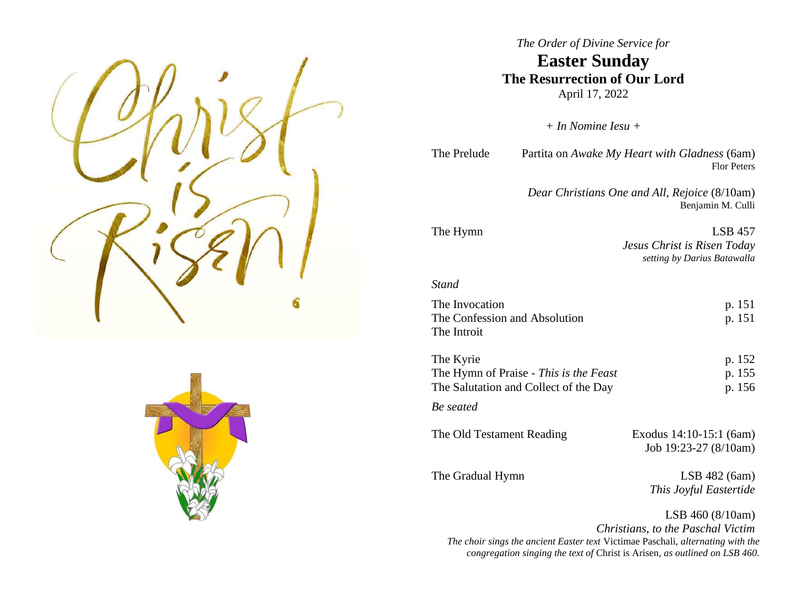



# *The Order of Divine Service for* **Easter Sunday The Resurrection of Our Lord** April 17, 2022

*+ In Nomine Iesu +*

The Prelude Partita on *Awake My Heart with Gladness* (6am) Flor Peters

> *Dear Christians One and All, Rejoice* (8/10am) Benjamin M. Culli

The Hymn LSB 457 *Jesus Christ is Risen Today setting by Darius Batawalla*

# *Stand*

The Invocation p. 151 The Confession and Absolution p. 151 The Introit

| The Kyrie                              | p. 152 |
|----------------------------------------|--------|
| The Hymn of Praise - This is the Feast | p. 155 |
| The Salutation and Collect of the Day  | p. 156 |
|                                        |        |

*Be seated*

The Old Testament Reading Exodus 14:10-15:1 (6am)

The Gradual Hymn LSB 482 (6am)

Job 19:23-27 (8/10am)

*This Joyful Eastertide*

LSB 460 (8/10am) *Christians, to the Paschal Victim The choir sings the ancient Easter text* Victimae Paschali, *alternating with the congregation singing the text of* Christ is Arisen*, as outlined on LSB 460.*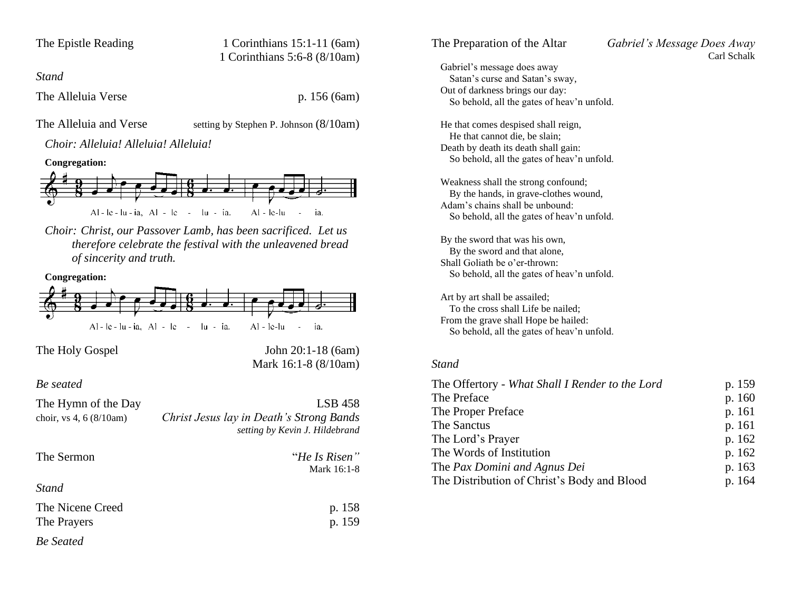| The Epistle Reading |  |  |
|---------------------|--|--|
|---------------------|--|--|

1 Corinthians  $15:1-11$  (6am) 1 Corinthians 5:6-8 (8/10am)

*Stand*

The Alleluia Verse p. 156 (6am)

The Alleluia and Verse setting by Stephen P. Johnson (8/10am)

*Choir: Alleluia! Alleluia! Alleluia!*

#### **Congregation:**



*Choir: Christ, our Passover Lamb, has been sacrificed. Let us therefore celebrate the festival with the unleavened bread of sincerity and truth.*



| The Hymn of the Day             | $LSB$ 458                                                                  |
|---------------------------------|----------------------------------------------------------------------------|
| choir, vs 4, 6 $(8/10am)$       | Christ Jesus lay in Death's Strong Bands<br>setting by Kevin J. Hildebrand |
| The Sermon                      | "He Is Risen"<br>Mark 16:1-8                                               |
| <i>Stand</i>                    |                                                                            |
| The Nicene Creed<br>The Prayers | p. 158<br>p. 159                                                           |
| <b>Be</b> Seated                |                                                                            |

| The Preparation of the Altar                                   | Gabriel's Message Does Away |
|----------------------------------------------------------------|-----------------------------|
|                                                                | Carl Schalk                 |
| Gabriel's message does away<br>Satan's curse and Satan's sway, |                             |
|                                                                |                             |
| Out of darkness brings our day:                                |                             |
| So behold, all the gates of heav'n unfold.                     |                             |
| He that comes despised shall reign,                            |                             |
| He that cannot die, be slain;                                  |                             |
| Death by death its death shall gain:                           |                             |
| So behold, all the gates of heav'n unfold.                     |                             |
|                                                                |                             |
| Weakness shall the strong confound;                            |                             |
| By the hands, in grave-clothes wound,                          |                             |
| Adam's chains shall be unbound:                                |                             |
| So behold, all the gates of heav'n unfold.                     |                             |
| By the sword that was his own,                                 |                             |
| By the sword and that alone,                                   |                             |
| Shall Goliath be o'er-thrown:                                  |                             |
| So behold, all the gates of heav'n unfold.                     |                             |
|                                                                |                             |
| Art by art shall be assailed;                                  |                             |
| To the cross shall Life be nailed;                             |                             |
| From the grave shall Hope be hailed:                           |                             |
| So behold, all the gates of heav'n unfold.                     |                             |
|                                                                |                             |
| <b>Stand</b>                                                   |                             |
|                                                                |                             |
| The Offertory - What Shall I Render to the Lord                | p. 159                      |
| The Preface                                                    | p. 160                      |
| The Proper Preface                                             | p. 161                      |

The Sanctus p. 161 The Lord's Prayer p. 162 The Words of Institution p. 162 The *Pax Domini* and *Agnus Dei* p. 163 The Distribution of Christ's Body and Blood p. 164